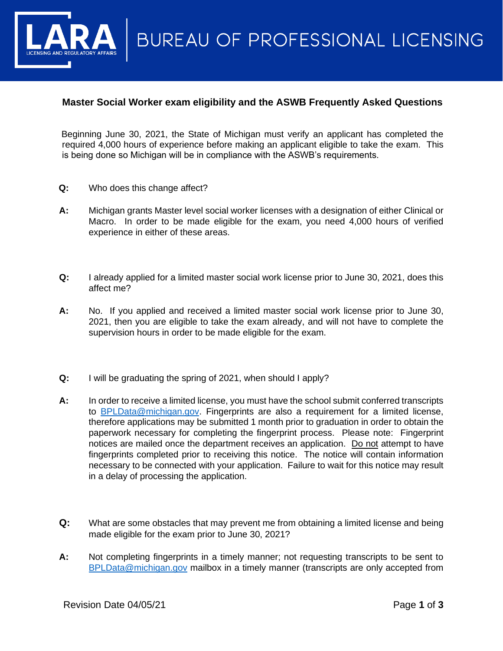**BUREAU OF PROFESSIONAL LICENSING** 

## **Master Social Worker exam eligibility and the ASWB Frequently Asked Questions**

Beginning June 30, 2021, the State of Michigan must verify an applicant has completed the required 4,000 hours of experience before making an applicant eligible to take the exam. This is being done so Michigan will be in compliance with the ASWB's requirements.

- **Q:** Who does this change affect?
- **A:** Michigan grants Master level social worker licenses with a designation of either Clinical or Macro. In order to be made eligible for the exam, you need 4,000 hours of verified experience in either of these areas.
- **Q:** I already applied for a limited master social work license prior to June 30, 2021, does this affect me?
- **A:** No. If you applied and received a limited master social work license prior to June 30, 2021, then you are eligible to take the exam already, and will not have to complete the supervision hours in order to be made eligible for the exam.
- **Q:** I will be graduating the spring of 2021, when should I apply?
- **A:** In order to receive a limited license, you must have the school submit conferred transcripts to [BPLData@michigan.gov.](mailto:BPLData@michigan.gov) Fingerprints are also a requirement for a limited license, therefore applications may be submitted 1 month prior to graduation in order to obtain the paperwork necessary for completing the fingerprint process. Please note: Fingerprint notices are mailed once the department receives an application. Do not attempt to have fingerprints completed prior to receiving this notice. The notice will contain information necessary to be connected with your application. Failure to wait for this notice may result in a delay of processing the application.
- **Q:** What are some obstacles that may prevent me from obtaining a limited license and being made eligible for the exam prior to June 30, 2021?
- **A:** Not completing fingerprints in a timely manner; not requesting transcripts to be sent to [BPLData@michigan.gov](mailto:BPLData@michigan.gov) mailbox in a timely manner (transcripts are only accepted from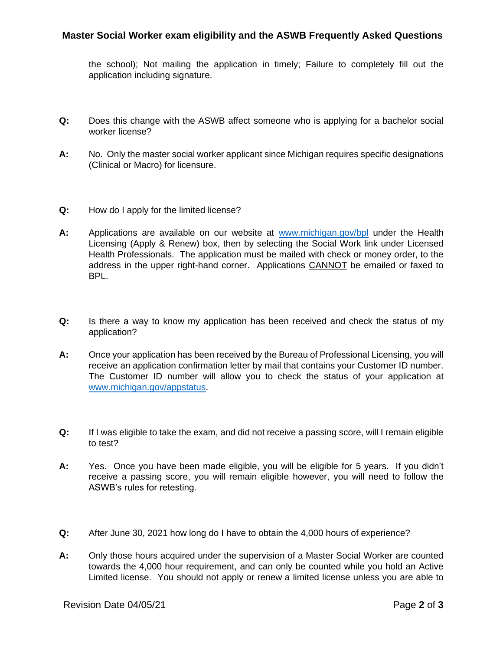## **Master Social Worker exam eligibility and the ASWB Frequently Asked Questions**

the school); Not mailing the application in timely; Failure to completely fill out the application including signature.

- **Q:** Does this change with the ASWB affect someone who is applying for a bachelor social worker license?
- **A:** No. Only the master social worker applicant since Michigan requires specific designations (Clinical or Macro) for licensure.
- **Q:** How do I apply for the limited license?
- **A:** Applications are available on our website at [www.michigan.gov/bpl](http://www.michigan.gov/bpl) under the Health Licensing (Apply & Renew) box, then by selecting the Social Work link under Licensed Health Professionals. The application must be mailed with check or money order, to the address in the upper right-hand corner. Applications CANNOT be emailed or faxed to BPL.
- **Q:** Is there a way to know my application has been received and check the status of my application?
- **A:** Once your application has been received by the Bureau of Professional Licensing, you will receive an application confirmation letter by mail that contains your Customer ID number. The Customer ID number will allow you to check the status of your application at [www.michigan.gov/appstatus.](http://www.michigan.gov/appstatus)
- **Q:** If I was eligible to take the exam, and did not receive a passing score, will I remain eligible to test?
- **A:** Yes. Once you have been made eligible, you will be eligible for 5 years. If you didn't receive a passing score, you will remain eligible however, you will need to follow the ASWB's rules for retesting.
- **Q:** After June 30, 2021 how long do I have to obtain the 4,000 hours of experience?
- **A:** Only those hours acquired under the supervision of a Master Social Worker are counted towards the 4,000 hour requirement, and can only be counted while you hold an Active Limited license. You should not apply or renew a limited license unless you are able to